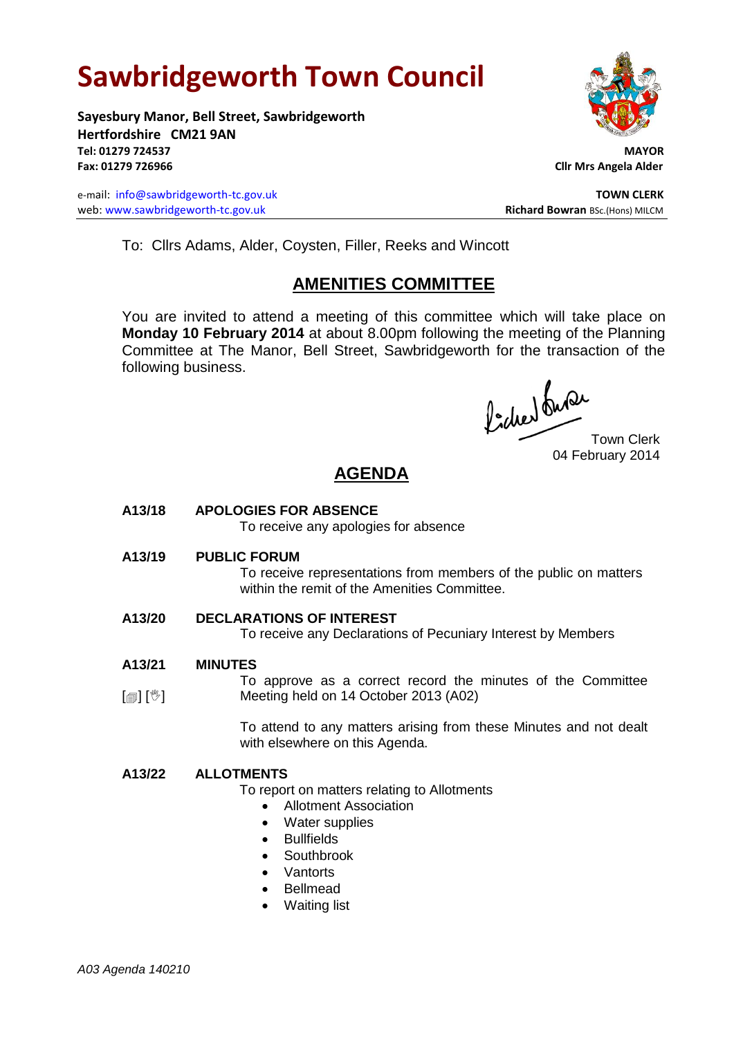# **Sawbridgeworth Town Council**

**Sayesbury Manor, Bell Street, Sawbridgeworth Hertfordshire CM21 9AN Tel: 01279 724537 MAYOR Fax: 01279 726966 Cllr Mrs Angela Alder**

e-mail: [info@sawbridgeworth-tc.gov.uk](mailto:info@sawbridgeworth-tc.gov.uk) **TOWN CLERK** web: www.sawbridgeworth-tc.gov.uk<br> **Richard Bowran** BSc.(Hons) MILCM



To: Cllrs Adams, Alder, Coysten, Filler, Reeks and Wincott

# **AMENITIES COMMITTEE**

You are invited to attend a meeting of this committee which will take place on **Monday 10 February 2014** at about 8.00pm following the meeting of the Planning Committee at The Manor, Bell Street, Sawbridgeworth for the transaction of the following business.

Procher bude

Town Clerk 04 February 2014

# **AGENDA**

**A13/18 APOLOGIES FOR ABSENCE**

To receive any apologies for absence

**A13/19 PUBLIC FORUM**

To receive representations from members of the public on matters within the remit of the Amenities Committee.

#### **A13/20 DECLARATIONS OF INTEREST**

To receive any Declarations of Pecuniary Interest by Members

- **A13/21 MINUTES**
- $\lceil \frac{m}{2} \rceil$   $\lceil \frac{m}{2} \rceil$ To approve as a correct record the minutes of the Committee Meeting held on 14 October 2013 (A02)

To attend to any matters arising from these Minutes and not dealt with elsewhere on this Agenda.

#### **A13/22 ALLOTMENTS**

To report on matters relating to Allotments

- Allotment Association
- Water supplies
- Bullfields
- Southbrook
- Vantorts
- Bellmead
- Waiting list